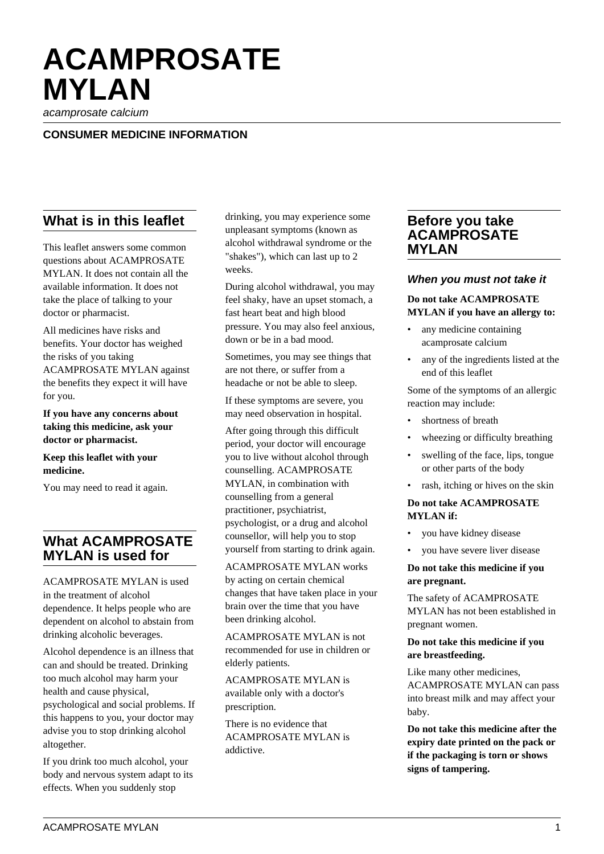# **ACAMPROSATE MYLAN**

acamprosate calcium

## **CONSUMER MEDICINE INFORMATION**

# **What is in this leaflet**

This leaflet answers some common questions about ACAMPROSATE MYLAN. It does not contain all the available information. It does not take the place of talking to your doctor or pharmacist.

All medicines have risks and benefits. Your doctor has weighed the risks of you taking ACAMPROSATE MYLAN against the benefits they expect it will have for you.

**If you have any concerns about taking this medicine, ask your doctor or pharmacist.**

**Keep this leaflet with your medicine.**

You may need to read it again.

# **What ACAMPROSATE MYLAN is used for**

ACAMPROSATE MYLAN is used in the treatment of alcohol dependence. It helps people who are dependent on alcohol to abstain from drinking alcoholic beverages.

Alcohol dependence is an illness that can and should be treated. Drinking too much alcohol may harm your health and cause physical, psychological and social problems. If this happens to you, your doctor may advise you to stop drinking alcohol altogether.

If you drink too much alcohol, your body and nervous system adapt to its effects. When you suddenly stop

drinking, you may experience some unpleasant symptoms (known as alcohol withdrawal syndrome or the "shakes"), which can last up to 2 weeks.

During alcohol withdrawal, you may feel shaky, have an upset stomach, a fast heart beat and high blood pressure. You may also feel anxious, down or be in a bad mood.

Sometimes, you may see things that are not there, or suffer from a headache or not be able to sleep.

If these symptoms are severe, you may need observation in hospital.

After going through this difficult period, your doctor will encourage you to live without alcohol through counselling. ACAMPROSATE MYLAN, in combination with counselling from a general practitioner, psychiatrist, psychologist, or a drug and alcohol counsellor, will help you to stop yourself from starting to drink again.

ACAMPROSATE MYLAN works by acting on certain chemical changes that have taken place in your brain over the time that you have been drinking alcohol.

ACAMPROSATE MYLAN is not recommended for use in children or elderly patients.

ACAMPROSATE MYLAN is available only with a doctor's prescription.

There is no evidence that ACAMPROSATE MYLAN is addictive.

# **Before you take ACAMPROSATE MYLAN**

#### **When you must not take it**

## **Do not take ACAMPROSATE MYLAN if you have an allergy to:**

- any medicine containing acamprosate calcium
- any of the ingredients listed at the end of this leaflet

Some of the symptoms of an allergic reaction may include:

- shortness of breath
- wheezing or difficulty breathing
- swelling of the face, lips, tongue or other parts of the body
- rash, itching or hives on the skin

#### **Do not take ACAMPROSATE MYLAN if:**

- you have kidney disease
- you have severe liver disease

#### **Do not take this medicine if you are pregnant.**

The safety of ACAMPROSATE MYLAN has not been established in pregnant women.

#### **Do not take this medicine if you are breastfeeding.**

Like many other medicines, ACAMPROSATE MYLAN can pass into breast milk and may affect your baby.

**Do not take this medicine after the expiry date printed on the pack or if the packaging is torn or shows signs of tampering.**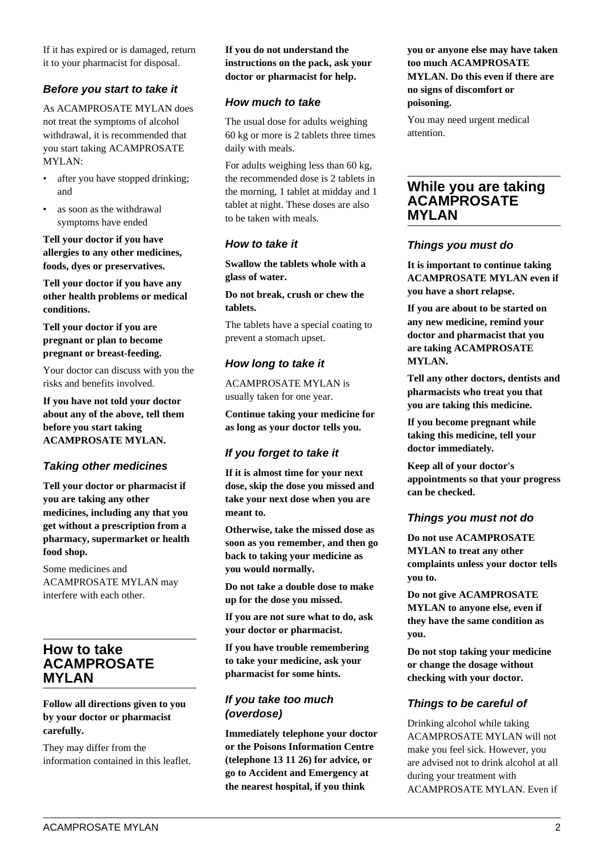If it has expired or is damaged, return it to your pharmacist for disposal.

# **Before you start to take it**

As ACAMPROSATE MYLAN does not treat the symptoms of alcohol withdrawal, it is recommended that you start taking ACAMPROSATE MYLAN:

- after you have stopped drinking; and
- as soon as the withdrawal symptoms have ended

**Tell your doctor if you have allergies to any other medicines, foods, dyes or preservatives.**

**Tell your doctor if you have any other health problems or medical conditions.**

**Tell your doctor if you are pregnant or plan to become pregnant or breast-feeding.**

Your doctor can discuss with you the risks and benefits involved.

**If you have not told your doctor about any of the above, tell them before you start taking ACAMPROSATE MYLAN.**

## **Taking other medicines**

**Tell your doctor or pharmacist if you are taking any other medicines, including any that you get without a prescription from a pharmacy, supermarket or health food shop.**

Some medicines and ACAMPROSATE MYLAN may interfere with each other.

# **How to take ACAMPROSATE MYLAN**

#### **Follow all directions given to you by your doctor or pharmacist carefully.**

They may differ from the information contained in this leaflet.

#### **If you do not understand the instructions on the pack, ask your doctor or pharmacist for help.**

#### **How much to take**

The usual dose for adults weighing 60 kg or more is 2 tablets three times daily with meals.

For adults weighing less than 60 kg, the recommended dose is 2 tablets in the morning, 1 tablet at midday and 1 tablet at night. These doses are also to be taken with meals.

## **How to take it**

**Swallow the tablets whole with a glass of water.**

**Do not break, crush or chew the tablets.**

The tablets have a special coating to prevent a stomach upset.

# **How long to take it**

ACAMPROSATE MYLAN is usually taken for one year.

**Continue taking your medicine for as long as your doctor tells you.**

## **If you forget to take it**

**If it is almost time for your next dose, skip the dose you missed and take your next dose when you are meant to.**

**Otherwise, take the missed dose as soon as you remember, and then go back to taking your medicine as you would normally.**

**Do not take a double dose to make up for the dose you missed.**

**If you are not sure what to do, ask your doctor or pharmacist.**

**If you have trouble remembering to take your medicine, ask your pharmacist for some hints.**

# **If you take too much (overdose)**

**Immediately telephone your doctor or the Poisons Information Centre (telephone 13 11 26) for advice, or go to Accident and Emergency at the nearest hospital, if you think**

#### **you or anyone else may have taken too much ACAMPROSATE MYLAN. Do this even if there are no signs of discomfort or poisoning.**

You may need urgent medical attention.

# **While you are taking ACAMPROSATE MYLAN**

#### **Things you must do**

**It is important to continue taking ACAMPROSATE MYLAN even if you have a short relapse.**

**If you are about to be started on any new medicine, remind your doctor and pharmacist that you are taking ACAMPROSATE MYLAN.**

**Tell any other doctors, dentists and pharmacists who treat you that you are taking this medicine.**

**If you become pregnant while taking this medicine, tell your doctor immediately.**

**Keep all of your doctor's appointments so that your progress can be checked.**

#### **Things you must not do**

**Do not use ACAMPROSATE MYLAN to treat any other complaints unless your doctor tells you to.**

**Do not give ACAMPROSATE MYLAN to anyone else, even if they have the same condition as you.**

**Do not stop taking your medicine or change the dosage without checking with your doctor.**

## **Things to be careful of**

Drinking alcohol while taking ACAMPROSATE MYLAN will not make you feel sick. However, you are advised not to drink alcohol at all during your treatment with ACAMPROSATE MYLAN. Even if